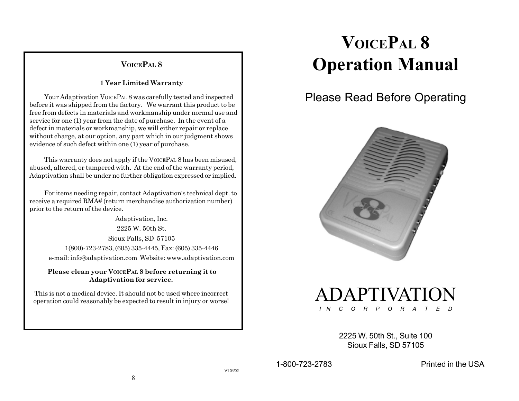# **VOICEPAL 8**

#### **1 Year Limited Warranty**

Your Adaptivation VOICEPAL 8 was carefully tested and inspected before it was shipped from the factory. We warrant this product to be free from defects in materials and workmanship under normal use and service for one (1) year from the date of purchase. In the event of a defect in materials or workmanship, we will either repair or replace without charge, at our option, any part which in our judgment shows evidence of such defect within one (1) year of purchase.

This warranty does not apply if the VOICEPAL 8 has been misused, abused, altered, or tampered with. At the end of the warranty period, Adaptivation shall be under no further obligation expressed or implied.

For items needing repair, contact Adaptivation's technical dept. to receive a required RMA# (return merchandise authorization number) prior to the return of the device.

Adaptivation, Inc. 2225 W. 50th St. Sioux Falls, SD 57105 1(800)-723-2783, (605) 335-4445, Fax: (605) 335-4446 e-mail: info@adaptivation.com Website: www.adaptivation.com

 **Please clean your VOICEPAL 8 before returning it to Adaptivation for service.**

This is not a medical device. It should not be used where incorrect operation could reasonably be expected to result in injury or worse!

# **VOICEPAL 8 Operation Manual**

# Please Read Before Operating



ADAPTIVATION *I N C O R P O R A T E D*

> 2225 W. 50th St., Suite 100 Sioux Falls, SD 57105

1-800-723-2783 Printed in the USA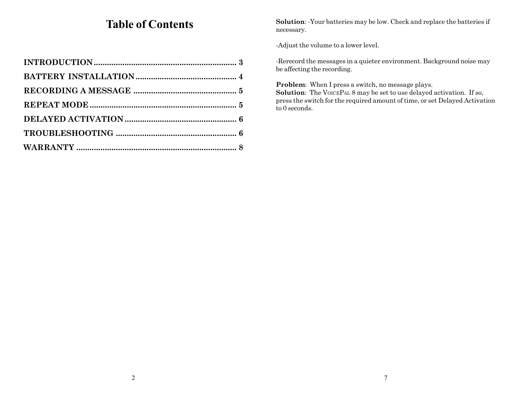# **Table of Contents**

**Solution**: -Your batteries may be low. Check and replace the batteries if necessary.

-Adjust the volume to a lower level.

-Rerecord the messages in a quieter environment. Background noise may be affecting the recording.

**Problem**: When I press a switch, no message plays. **Solution**: The VOICEPAL 8 may be set to use delayed activation. If so, press the switch for the required amount of time, or set Delayed Activation to 0 seconds.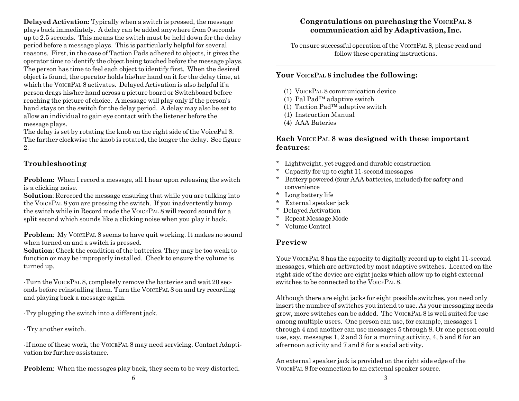**Delayed Activation:** Typically when a switch is pressed, the message plays back immediately. A delay can be added anywhere from 0 seconds up to 2.5 seconds. This means the switch must be held down for the delay period before a message plays. This is particularly helpful for several reasons. First, in the case of Taction Pads adhered to objects, it gives the operator time to identify the object being touched before the message plays. The person has time to feel each object to identify first. When the desired object is found, the operator holds his/her hand on it for the delay time, at which the VOICEPAL 8 activates. Delayed Activation is also helpful if a person drags his/her hand across a picture board or Switchboard before reaching the picture of choice. A message will play only if the person's hand stays on the switch for the delay period. A delay may also be set to allow an individual to gain eye contact with the listener before the message plays.

The delay is set by rotating the knob on the right side of the VoicePal 8. The farther clockwise the knob is rotated, the longer the delay. See figure 2.

#### **Troubleshooting**

**Problem:** When I record a message, all I hear upon releasing the switch is a clicking noise.

**Solution**: Rerecord the message ensuring that while you are talking into the VOICEPAL 8 you are pressing the switch. If you inadvertently bump the switch while in Record mode the VOICEPAL 8 will record sound for a split second which sounds like a clicking noise when you play it back.

**Problem:** My VOICEPAL 8 seems to have quit working. It makes no sound when turned on and a switch is pressed.

**Solution**: Check the condition of the batteries. They may be too weak to function or may be improperly installed. Check to ensure the volume is turned up.

-Turn the VOICEPAL 8, completely remove the batteries and wait 20 seconds before reinstalling them. Turn the VOICEPAL 8 on and try recording and playing back a message again.

-Try plugging the switch into a different jack.

- Try another switch.

-If none of these work, the VOICEPAL 8 may need servicing. Contact Adaptivation for further assistance.

**Problem:** When the messages play back, they seem to be very distorted.

# **Congratulations on purchasing the VOICEPAL 8 communication aid by Adaptivation, Inc.**

To ensure successful operation of the VOICEPAL 8, please read and follow these operating instructions.

#### **Your VOICEPAL 8 includes the following:**

- (1) VOICEPAL 8 communication device
- (1) Pal Pad™ adaptive switch
- (1) Taction Pad™ adaptive switch
- (1) Instruction Manual
- (4) AAA Bateries

#### **Each VOICEPAL 8 was designed with these important features:**

- \* Lightweight, yet rugged and durable construction
- \*Capacity for up to eight 11-second messages
- \* Battery powered (four AAA batteries, included) for safety and convenience
- \* Long battery life
- \*External speaker jack
- \* Delayed Activation
- \*Repeat Message Mode
- \* Volume Control

## **Preview**

Your VOICEPAL 8 has the capacity to digitally record up to eight 11-second messages, which are activated by most adaptive switches. Located on the right side of the device are eight jacks which allow up to eight external switches to be connected to the VOICEPAL 8.

Although there are eight jacks for eight possible switches, you need only insert the number of switches you intend to use. As your messaging needs grow, more switches can be added. The VOICEPAL 8 is well suited for use among multiple users. One person can use, for example, messages 1 through 4 and another can use messages 5 through 8. Or one person could use, say, messages 1, 2 and 3 for a morning activity, 4, 5 and 6 for an afternoon activity and 7 and 8 for a social activity.

An external speaker jack is provided on the right side edge of the VOICEPAL 8 for connection to an external speaker source.